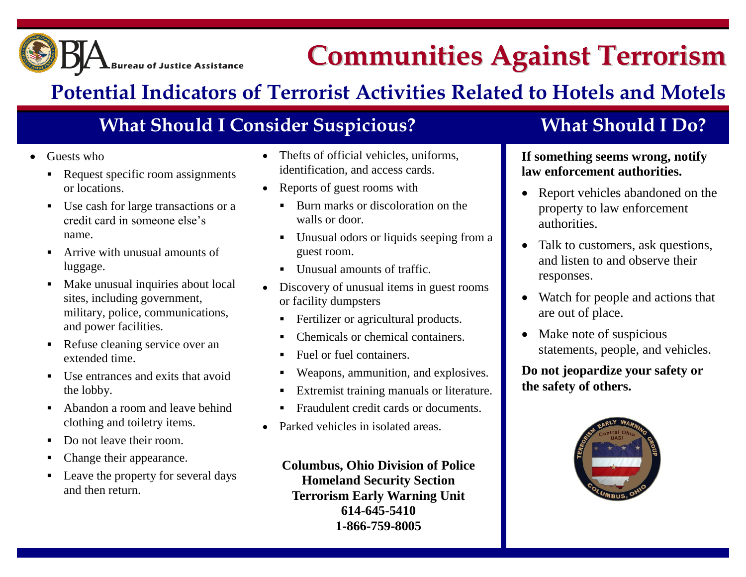

# **Communities Against Terrorism**

## **Potential Indicators of Terrorist Activities Related to Hotels and Motels**

### **What Should I Consider Suspicious? What Should I Do?**

- Guests who
	- Request specific room assignments or locations.
	- Use cash for large transactions or a credit card in someone else's name.
	- Arrive with unusual amounts of luggage.
	- Make unusual inquiries about local sites, including government, military, police, communications, and power facilities.
	- Refuse cleaning service over an extended time.
	- $\blacksquare$  Use entrances and exits that avoid the lobby.
	- Abandon a room and leave behind clothing and toiletry items.
	- Do not leave their room.
	- Change their appearance.
	- Leave the property for several days and then return.
- Thefts of official vehicles, uniforms, identification, and access cards.
- Reports of guest rooms with
	- Burn marks or discoloration on the walls or door.
	- Unusual odors or liquids seeping from a guest room.
	- Unusual amounts of traffic.
- Discovery of unusual items in guest rooms or facility dumpsters
	- Fertilizer or agricultural products.
	- Chemicals or chemical containers.
	- Fuel or fuel containers.
	- Weapons, ammunition, and explosives.
	- Extremist training manuals or literature.
	- Fraudulent credit cards or documents.
- Parked vehicles in isolated areas.

**Columbus, Ohio Division of Police Homeland Security Section Terrorism Early Warning Unit 614-645-5410 1-866-759-8005**

### **If something seems wrong, notify law enforcement authorities.**

- Report vehicles abandoned on the property to law enforcement authorities.
- Talk to customers, ask questions, and listen to and observe their responses.
- Watch for people and actions that are out of place.
- Make note of suspicious statements, people, and vehicles.

**Do not jeopardize your safety or the safety of others.**